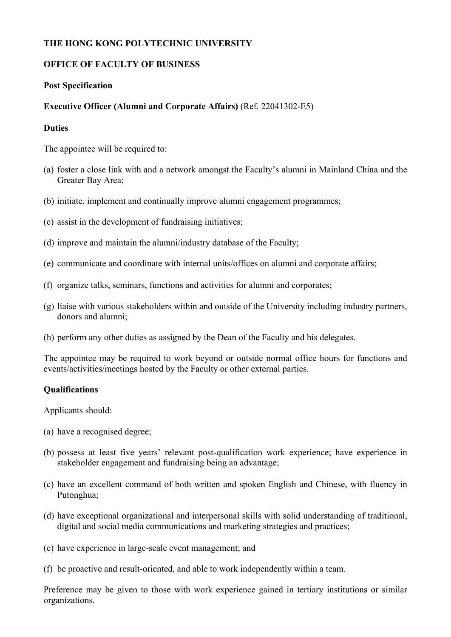## **THE HONG KONG POLYTECHNIC UNIVERSITY**

## **OFFICE OF FACULTY OF BUSINESS**

### **Post Specification**

### **Executive Officer (Alumni and Corporate Affairs)** (Ref. 22041302-E5)

### **Duties**

The appointee will be required to:

- (a) foster a close link with and a network amongst the Faculty's alumni in Mainland China and the Greater Bay Area;
- (b) initiate, implement and continually improve alumni engagement programmes;
- (c) assist in the development of fundraising initiatives;
- (d) improve and maintain the alumni/industry database of the Faculty;
- (e) communicate and coordinate with internal units/offices on alumni and corporate affairs;
- (f) organize talks, seminars, functions and activities for alumni and corporates;
- (g) liaise with various stakeholders within and outside of the University including industry partners, donors and alumni;
- (h) perform any other duties as assigned by the Dean of the Faculty and his delegates.

The appointee may be required to work beyond or outside normal office hours for functions and events/activities/meetings hosted by the Faculty or other external parties.

#### **Qualifications**

Applicants should:

- (a) have a recognised degree;
- (b) possess at least five years' relevant post-qualification work experience; have experience in stakeholder engagement and fundraising being an advantage;
- (c) have an excellent command of both written and spoken English and Chinese, with fluency in Putonghua;
- (d) have exceptional organizational and interpersonal skills with solid understanding of traditional, digital and social media communications and marketing strategies and practices;
- (e) have experience in large-scale event management; and
- (f) be proactive and result-oriented, and able to work independently within a team.

Preference may be given to those with work experience gained in tertiary institutions or similar organizations.